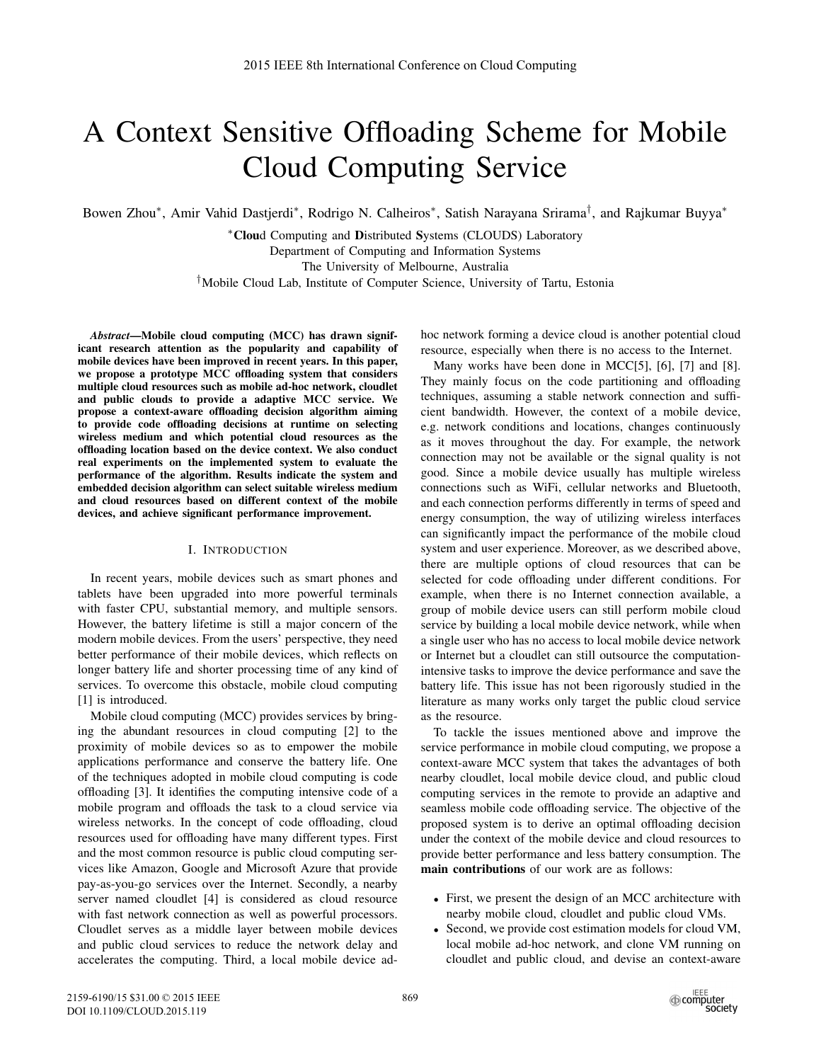# A Context Sensitive Offloading Scheme for Mobile Cloud Computing Service

Bowen Zhou∗, Amir Vahid Dastjerdi∗, Rodrigo N. Calheiros∗, Satish Narayana Srirama†, and Rajkumar Buyya∗

∗Cloud Computing and Distributed Systems (CLOUDS) Laboratory Department of Computing and Information Systems The University of Melbourne, Australia †Mobile Cloud Lab, Institute of Computer Science, University of Tartu, Estonia

*Abstract*—Mobile cloud computing (MCC) has drawn significant research attention as the popularity and capability of mobile devices have been improved in recent years. In this paper, we propose a prototype MCC offloading system that considers multiple cloud resources such as mobile ad-hoc network, cloudlet and public clouds to provide a adaptive MCC service. We propose a context-aware offloading decision algorithm aiming to provide code offloading decisions at runtime on selecting wireless medium and which potential cloud resources as the offloading location based on the device context. We also conduct real experiments on the implemented system to evaluate the performance of the algorithm. Results indicate the system and embedded decision algorithm can select suitable wireless medium and cloud resources based on different context of the mobile devices, and achieve significant performance improvement.

# I. INTRODUCTION

In recent years, mobile devices such as smart phones and tablets have been upgraded into more powerful terminals with faster CPU, substantial memory, and multiple sensors. However, the battery lifetime is still a major concern of the modern mobile devices. From the users' perspective, they need better performance of their mobile devices, which reflects on longer battery life and shorter processing time of any kind of services. To overcome this obstacle, mobile cloud computing [1] is introduced.

Mobile cloud computing (MCC) provides services by bringing the abundant resources in cloud computing [2] to the proximity of mobile devices so as to empower the mobile applications performance and conserve the battery life. One of the techniques adopted in mobile cloud computing is code offloading [3]. It identifies the computing intensive code of a mobile program and offloads the task to a cloud service via wireless networks. In the concept of code offloading, cloud resources used for offloading have many different types. First and the most common resource is public cloud computing services like Amazon, Google and Microsoft Azure that provide pay-as-you-go services over the Internet. Secondly, a nearby server named cloudlet [4] is considered as cloud resource with fast network connection as well as powerful processors. Cloudlet serves as a middle layer between mobile devices and public cloud services to reduce the network delay and accelerates the computing. Third, a local mobile device adhoc network forming a device cloud is another potential cloud resource, especially when there is no access to the Internet.

Many works have been done in MCC[5], [6], [7] and [8]. They mainly focus on the code partitioning and offloading techniques, assuming a stable network connection and sufficient bandwidth. However, the context of a mobile device, e.g. network conditions and locations, changes continuously as it moves throughout the day. For example, the network connection may not be available or the signal quality is not good. Since a mobile device usually has multiple wireless connections such as WiFi, cellular networks and Bluetooth, and each connection performs differently in terms of speed and energy consumption, the way of utilizing wireless interfaces can significantly impact the performance of the mobile cloud system and user experience. Moreover, as we described above, there are multiple options of cloud resources that can be selected for code offloading under different conditions. For example, when there is no Internet connection available, a group of mobile device users can still perform mobile cloud service by building a local mobile device network, while when a single user who has no access to local mobile device network or Internet but a cloudlet can still outsource the computationintensive tasks to improve the device performance and save the battery life. This issue has not been rigorously studied in the literature as many works only target the public cloud service as the resource.

To tackle the issues mentioned above and improve the service performance in mobile cloud computing, we propose a context-aware MCC system that takes the advantages of both nearby cloudlet, local mobile device cloud, and public cloud computing services in the remote to provide an adaptive and seamless mobile code offloading service. The objective of the proposed system is to derive an optimal offloading decision under the context of the mobile device and cloud resources to provide better performance and less battery consumption. The main contributions of our work are as follows:

- First, we present the design of an MCC architecture with nearby mobile cloud, cloudlet and public cloud VMs.
- Second, we provide cost estimation models for cloud VM, local mobile ad-hoc network, and clone VM running on cloudlet and public cloud, and devise an context-aware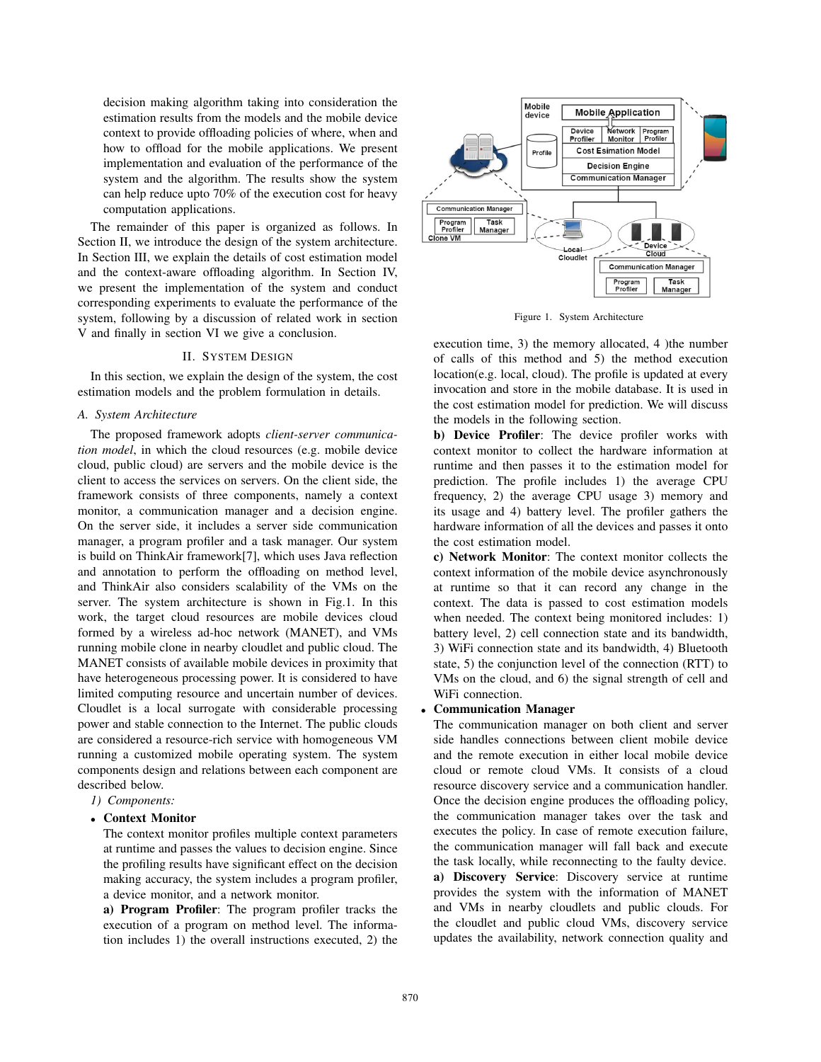decision making algorithm taking into consideration the estimation results from the models and the mobile device context to provide offloading policies of where, when and how to offload for the mobile applications. We present implementation and evaluation of the performance of the system and the algorithm. The results show the system can help reduce upto 70% of the execution cost for heavy computation applications.

The remainder of this paper is organized as follows. In Section II, we introduce the design of the system architecture. In Section III, we explain the details of cost estimation model and the context-aware offloading algorithm. In Section IV, we present the implementation of the system and conduct corresponding experiments to evaluate the performance of the system, following by a discussion of related work in section V and finally in section VI we give a conclusion.

# II. SYSTEM DESIGN

In this section, we explain the design of the system, the cost estimation models and the problem formulation in details.

#### *A. System Architecture*

The proposed framework adopts *client-server communication model*, in which the cloud resources (e.g. mobile device cloud, public cloud) are servers and the mobile device is the client to access the services on servers. On the client side, the framework consists of three components, namely a context monitor, a communication manager and a decision engine. On the server side, it includes a server side communication manager, a program profiler and a task manager. Our system is build on ThinkAir framework[7], which uses Java reflection and annotation to perform the offloading on method level, and ThinkAir also considers scalability of the VMs on the server. The system architecture is shown in Fig.1. In this work, the target cloud resources are mobile devices cloud formed by a wireless ad-hoc network (MANET), and VMs running mobile clone in nearby cloudlet and public cloud. The MANET consists of available mobile devices in proximity that have heterogeneous processing power. It is considered to have limited computing resource and uncertain number of devices. Cloudlet is a local surrogate with considerable processing power and stable connection to the Internet. The public clouds are considered a resource-rich service with homogeneous VM running a customized mobile operating system. The system components design and relations between each component are described below.

*1) Components:*

#### • Context Monitor

The context monitor profiles multiple context parameters at runtime and passes the values to decision engine. Since the profiling results have significant effect on the decision making accuracy, the system includes a program profiler, a device monitor, and a network monitor.

a) Program Profiler: The program profiler tracks the execution of a program on method level. The information includes 1) the overall instructions executed, 2) the



Figure 1. System Architecture

execution time, 3) the memory allocated, 4 )the number of calls of this method and 5) the method execution location(e.g. local, cloud). The profile is updated at every invocation and store in the mobile database. It is used in the cost estimation model for prediction. We will discuss the models in the following section.

b) Device Profiler: The device profiler works with context monitor to collect the hardware information at runtime and then passes it to the estimation model for prediction. The profile includes 1) the average CPU frequency, 2) the average CPU usage 3) memory and its usage and 4) battery level. The profiler gathers the hardware information of all the devices and passes it onto the cost estimation model.

c) Network Monitor: The context monitor collects the context information of the mobile device asynchronously at runtime so that it can record any change in the context. The data is passed to cost estimation models when needed. The context being monitored includes: 1) battery level, 2) cell connection state and its bandwidth, 3) WiFi connection state and its bandwidth, 4) Bluetooth state, 5) the conjunction level of the connection (RTT) to VMs on the cloud, and 6) the signal strength of cell and WiFi connection.

# • Communication Manager

The communication manager on both client and server side handles connections between client mobile device and the remote execution in either local mobile device cloud or remote cloud VMs. It consists of a cloud resource discovery service and a communication handler. Once the decision engine produces the offloading policy, the communication manager takes over the task and executes the policy. In case of remote execution failure, the communication manager will fall back and execute the task locally, while reconnecting to the faulty device. a) Discovery Service: Discovery service at runtime provides the system with the information of MANET and VMs in nearby cloudlets and public clouds. For the cloudlet and public cloud VMs, discovery service updates the availability, network connection quality and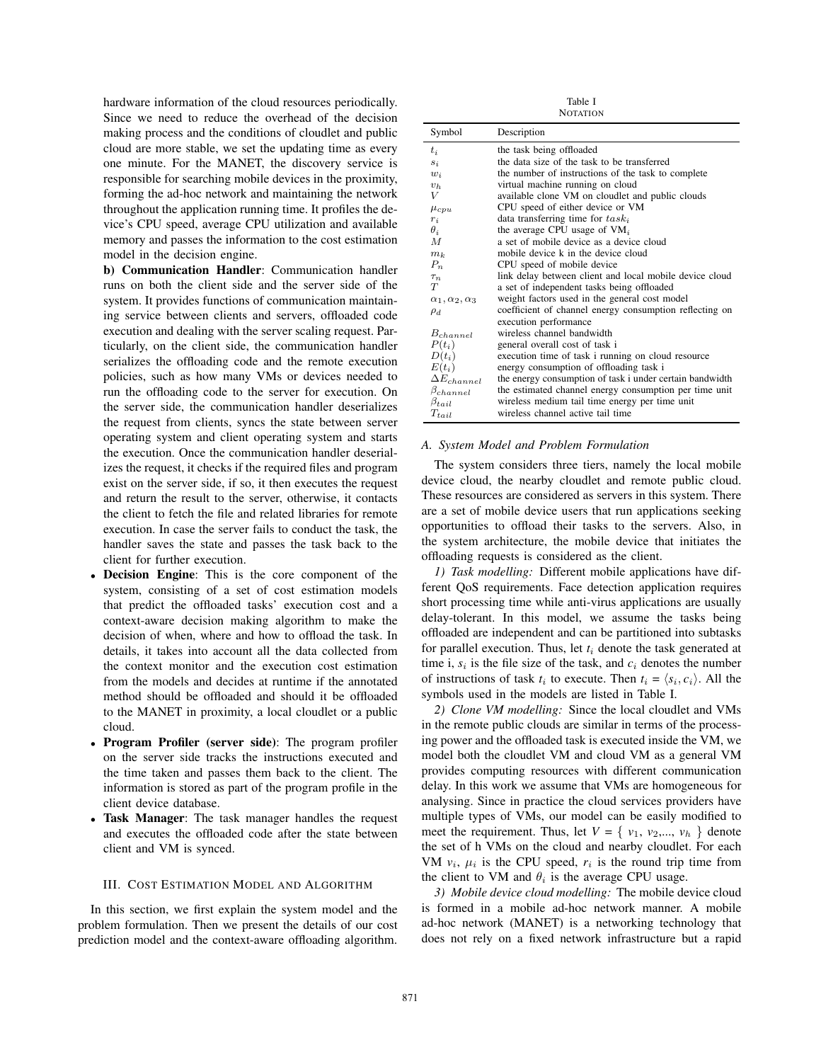hardware information of the cloud resources periodically. Since we need to reduce the overhead of the decision making process and the conditions of cloudlet and public cloud are more stable, we set the updating time as every one minute. For the MANET, the discovery service is responsible for searching mobile devices in the proximity, forming the ad-hoc network and maintaining the network throughout the application running time. It profiles the device's CPU speed, average CPU utilization and available memory and passes the information to the cost estimation model in the decision engine.

b) Communication Handler: Communication handler runs on both the client side and the server side of the system. It provides functions of communication maintaining service between clients and servers, offloaded code execution and dealing with the server scaling request. Particularly, on the client side, the communication handler serializes the offloading code and the remote execution policies, such as how many VMs or devices needed to run the offloading code to the server for execution. On the server side, the communication handler deserializes the request from clients, syncs the state between server operating system and client operating system and starts the execution. Once the communication handler deserializes the request, it checks if the required files and program exist on the server side, if so, it then executes the request and return the result to the server, otherwise, it contacts the client to fetch the file and related libraries for remote execution. In case the server fails to conduct the task, the handler saves the state and passes the task back to the client for further execution.

- Decision Engine: This is the core component of the system, consisting of a set of cost estimation models that predict the offloaded tasks' execution cost and a context-aware decision making algorithm to make the decision of when, where and how to offload the task. In details, it takes into account all the data collected from the context monitor and the execution cost estimation from the models and decides at runtime if the annotated method should be offloaded and should it be offloaded to the MANET in proximity, a local cloudlet or a public cloud.
- Program Profiler (server side): The program profiler on the server side tracks the instructions executed and the time taken and passes them back to the client. The information is stored as part of the program profile in the client device database.
- Task Manager: The task manager handles the request and executes the offloaded code after the state between client and VM is synced.

# III. COST ESTIMATION MODEL AND ALGORITHM

In this section, we first explain the system model and the problem formulation. Then we present the details of our cost prediction model and the context-aware offloading algorithm.

Table I **NOTATION** 

| Symbol                         | Description                                              |
|--------------------------------|----------------------------------------------------------|
| $t_i$                          | the task being offloaded                                 |
| $s_i$                          | the data size of the task to be transferred              |
| $w_i$                          | the number of instructions of the task to complete       |
| $v_h$                          | virtual machine running on cloud                         |
| V                              | available clone VM on cloudlet and public clouds         |
| $\mu_{cpu}$                    | CPU speed of either device or VM                         |
| $r_i$                          | data transferring time for $task_i$                      |
| $\theta_i$                     | the average CPU usage of $VM_i$                          |
| $\overline{M}$                 | a set of mobile device as a device cloud                 |
| $m_k$                          | mobile device k in the device cloud                      |
| $P_n$                          | CPU speed of mobile device                               |
| $\tau_n$                       | link delay between client and local mobile device cloud  |
| T                              | a set of independent tasks being offloaded               |
| $\alpha_1, \alpha_2, \alpha_3$ | weight factors used in the general cost model            |
| $\rho_d$                       | coefficient of channel energy consumption reflecting on  |
|                                | execution performance                                    |
| $B_{channel}$                  | wireless channel bandwidth                               |
| $P(t_i)$                       | general overall cost of task i                           |
| $D(t_i)$                       | execution time of task i running on cloud resource       |
| $E(t_i)$                       | energy consumption of offloading task i                  |
| $\Delta E_{channel}$           | the energy consumption of task i under certain bandwidth |
| $\beta_{channel}$              | the estimated channel energy consumption per time unit   |
| $\beta_{tail}$                 | wireless medium tail time energy per time unit           |
| $T_{tail}$                     | wireless channel active tail time                        |

### *A. System Model and Problem Formulation*

The system considers three tiers, namely the local mobile device cloud, the nearby cloudlet and remote public cloud. These resources are considered as servers in this system. There are a set of mobile device users that run applications seeking opportunities to offload their tasks to the servers. Also, in the system architecture, the mobile device that initiates the offloading requests is considered as the client.

*1) Task modelling:* Different mobile applications have different QoS requirements. Face detection application requires short processing time while anti-virus applications are usually delay-tolerant. In this model, we assume the tasks being offloaded are independent and can be partitioned into subtasks for parallel execution. Thus, let  $t_i$  denote the task generated at time i,  $s_i$  is the file size of the task, and  $c_i$  denotes the number of instructions of task  $t_i$  to execute. Then  $t_i = \langle s_i, c_i \rangle$ . All the symbols used in the models are listed in Table I.

*2) Clone VM modelling:* Since the local cloudlet and VMs in the remote public clouds are similar in terms of the processing power and the offloaded task is executed inside the VM, we model both the cloudlet VM and cloud VM as a general VM provides computing resources with different communication delay. In this work we assume that VMs are homogeneous for analysing. Since in practice the cloud services providers have multiple types of VMs, our model can be easily modified to meet the requirement. Thus, let  $V = \{v_1, v_2,..., v_h\}$  denote the set of h VMs on the cloud and nearby cloudlet. For each VM  $v_i$ ,  $\mu_i$  is the CPU speed,  $r_i$  is the round trip time from the client to VM and  $\theta_i$  is the average CPU usage.

*3) Mobile device cloud modelling:* The mobile device cloud is formed in a mobile ad-hoc network manner. A mobile ad-hoc network (MANET) is a networking technology that does not rely on a fixed network infrastructure but a rapid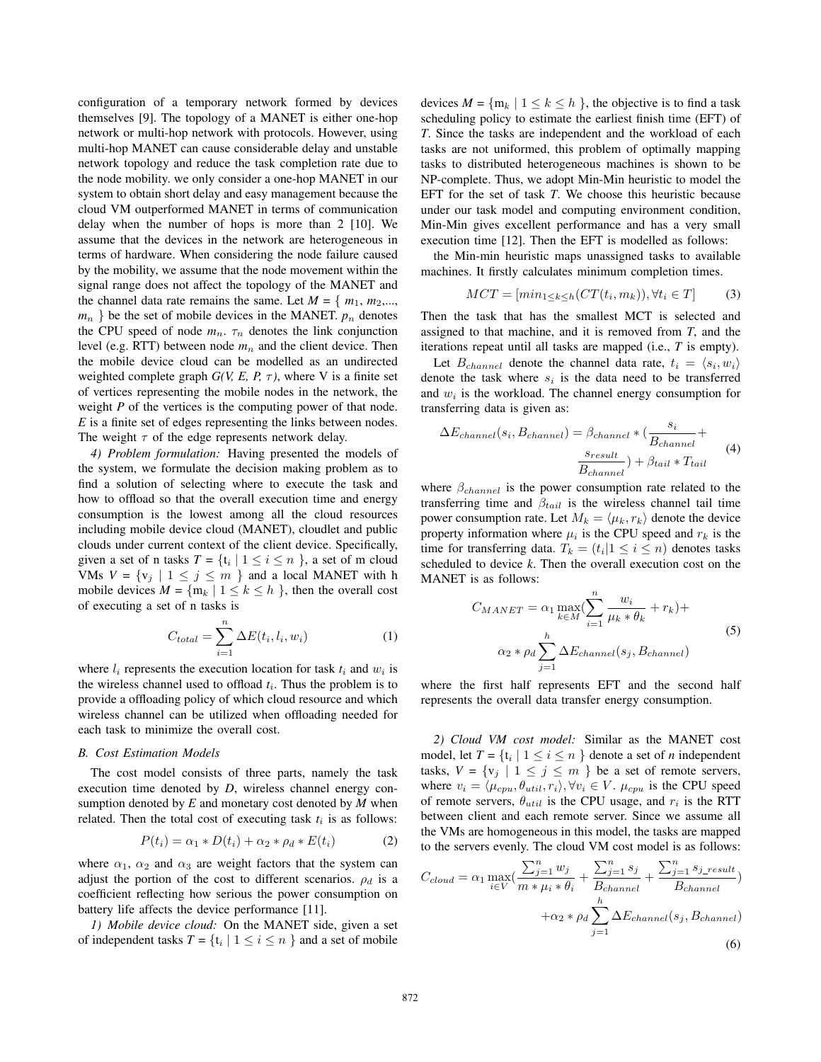configuration of a temporary network formed by devices themselves [9]. The topology of a MANET is either one-hop network or multi-hop network with protocols. However, using multi-hop MANET can cause considerable delay and unstable network topology and reduce the task completion rate due to the node mobility. we only consider a one-hop MANET in our system to obtain short delay and easy management because the cloud VM outperformed MANET in terms of communication delay when the number of hops is more than 2 [10]. We assume that the devices in the network are heterogeneous in terms of hardware. When considering the node failure caused by the mobility, we assume that the node movement within the signal range does not affect the topology of the MANET and the channel data rate remains the same. Let  $M = \{m_1, m_2,...,$  $m_n$ } be the set of mobile devices in the MANET.  $p_n$  denotes the CPU speed of node  $m_n$ .  $\tau_n$  denotes the link conjunction level (e.g. RTT) between node  $m_n$  and the client device. Then the mobile device cloud can be modelled as an undirected weighted complete graph  $G(V, E, P, \tau)$ , where V is a finite set of vertices representing the mobile nodes in the network, the weight *P* of the vertices is the computing power of that node. *E* is a finite set of edges representing the links between nodes. The weight  $\tau$  of the edge represents network delay.

*4) Problem formulation:* Having presented the models of the system, we formulate the decision making problem as to find a solution of selecting where to execute the task and how to offload so that the overall execution time and energy consumption is the lowest among all the cloud resources including mobile device cloud (MANET), cloudlet and public clouds under current context of the client device. Specifically, given a set of n tasks  $T = \{t_i | 1 \le i \le n\}$ , a set of m cloud VMs  $V = \{v_j \mid 1 \leq j \leq m\}$  and a local MANET with h mobile devices  $M = \{m_k | 1 \le k \le h\}$ , then the overall cost of executing a set of n tasks is

$$
C_{total} = \sum_{i=1}^{n} \Delta E(t_i, l_i, w_i)
$$
 (1)

where  $l_i$  represents the execution location for task  $t_i$  and  $w_i$  is the wireless channel used to offload  $t_i$ . Thus the problem is to provide a offloading policy of which cloud resource and which wireless channel can be utilized when offloading needed for each task to minimize the overall cost.

### *B. Cost Estimation Models*

The cost model consists of three parts, namely the task execution time denoted by *D*, wireless channel energy consumption denoted by *E* and monetary cost denoted by *M* when related. Then the total cost of executing task  $t_i$  is as follows:

$$
P(t_i) = \alpha_1 * D(t_i) + \alpha_2 * \rho_d * E(t_i)
$$
 (2)

where  $\alpha_1$ ,  $\alpha_2$  and  $\alpha_3$  are weight factors that the system can adjust the portion of the cost to different scenarios.  $\rho_d$  is a coefficient reflecting how serious the power consumption on battery life affects the device performance [11].

*1) Mobile device cloud:* On the MANET side, given a set of independent tasks  $T = \{t_i | 1 \le i \le n\}$  and a set of mobile

devices  $M = \{m_k \mid 1 \le k \le h\}$ , the objective is to find a task scheduling policy to estimate the earliest finish time (EFT) of *T*. Since the tasks are independent and the workload of each tasks are not uniformed, this problem of optimally mapping tasks to distributed heterogeneous machines is shown to be NP-complete. Thus, we adopt Min-Min heuristic to model the EFT for the set of task *T*. We choose this heuristic because under our task model and computing environment condition, Min-Min gives excellent performance and has a very small execution time [12]. Then the EFT is modelled as follows:

the Min-min heuristic maps unassigned tasks to available machines. It firstly calculates minimum completion times.

$$
MCT = [min_{1 \le k \le h} (CT(t_i, m_k)), \forall t_i \in T]
$$
 (3)

Then the task that has the smallest MCT is selected and assigned to that machine, and it is removed from *T*, and the iterations repeat until all tasks are mapped (i.e., *T* is empty).

Let  $B_{channel}$  denote the channel data rate,  $t_i = \langle s_i, w_i \rangle$ denote the task where  $s_i$  is the data need to be transferred and  $w_i$  is the workload. The channel energy consumption for transferring data is given as:

$$
\Delta E_{channel}(s_i, B_{channel}) = \beta_{channel} * \left(\frac{s_i}{B_{channel}} + \frac{s_{result}}{B_{channel}}\right)
$$
\n
$$
\frac{s_{result}}{B_{channel}} + \beta_{tail} * T_{tail}
$$
\n(4)

where  $\beta_{channel}$  is the power consumption rate related to the transferring time and  $\beta_{tail}$  is the wireless channel tail time power consumption rate. Let  $M_k = \langle \mu_k, r_k \rangle$  denote the device property information where  $\mu_i$  is the CPU speed and  $r_k$  is the time for transferring data.  $T_k = (t_i | 1 \le i \le n)$  denotes tasks scheduled to device *k*. Then the overall execution cost on the MANET is as follows:

$$
C_{MANET} = \alpha_1 \max_{k \in M} \left( \sum_{i=1}^n \frac{w_i}{\mu_k * \theta_k} + r_k \right) +
$$
  

$$
\alpha_2 * \rho_d \sum_{j=1}^h \Delta E_{channel}(s_j, B_{channel})
$$
 (5)

where the first half represents EFT and the second half represents the overall data transfer energy consumption.

*2) Cloud VM cost model:* Similar as the MANET cost model, let  $T = \{t_i | 1 \le i \le n\}$  denote a set of *n* independent tasks,  $V = \{v_j \mid 1 \leq j \leq m\}$  be a set of remote servers, where  $v_i = \langle \mu_{cpu}, \theta_{util}, r_i \rangle, \forall v_i \in V$ .  $\mu_{cpu}$  is the CPU speed of remote servers,  $\theta_{util}$  is the CPU usage, and  $r_i$  is the RTT between client and each remote server. Since we assume all the VMs are homogeneous in this model, the tasks are mapped to the servers evenly. The cloud VM cost model is as follows:

$$
C_{cloud} = \alpha_1 \max_{i \in V} \left( \frac{\sum_{j=1}^n w_j}{m * \mu_i * \theta_i} + \frac{\sum_{j=1}^n s_j}{B_{channel}} + \frac{\sum_{j=1}^n s_{j\_result}}{B_{channel}} \right) + \alpha_2 * \rho_d \sum_{j=1}^h \Delta E_{channel}(s_j, B_{channel})
$$
\n(6)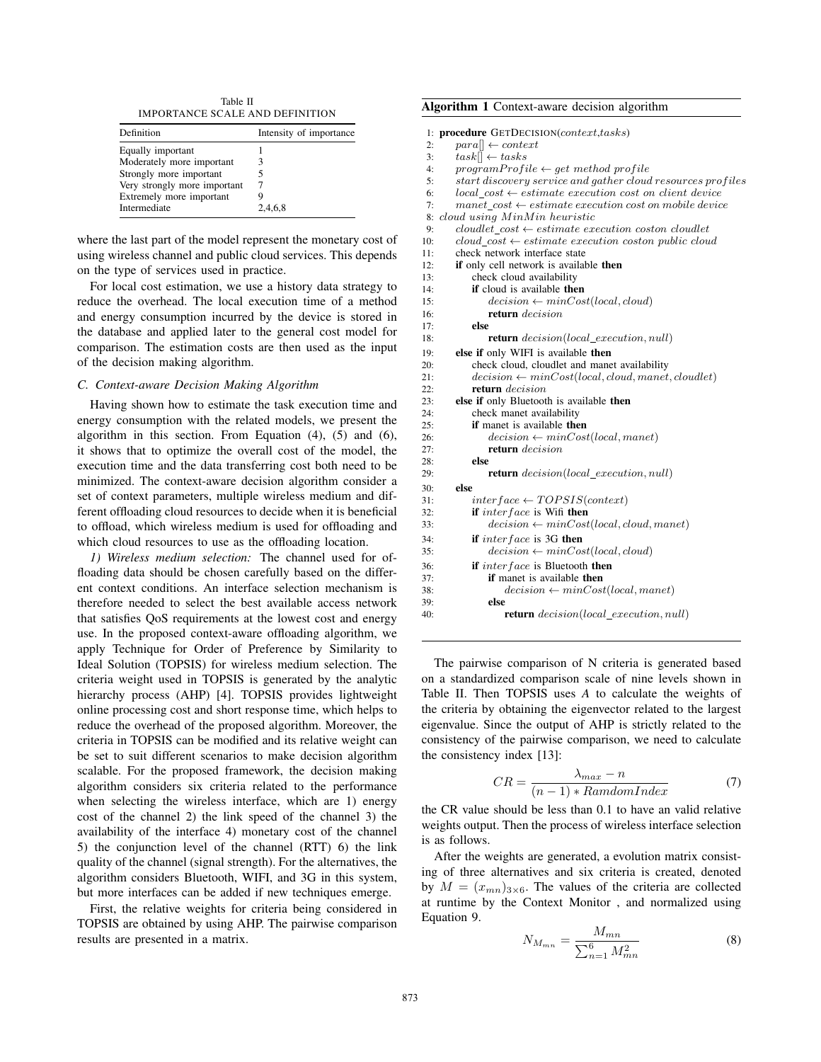Table II IMPORTANCE SCALE AND DEFINITION

| Definition                   | Intensity of importance |
|------------------------------|-------------------------|
| Equally important            |                         |
| Moderately more important    | 3                       |
| Strongly more important      |                         |
| Very strongly more important |                         |
| Extremely more important     |                         |
| Intermediate                 | 2,4,6,8                 |

where the last part of the model represent the monetary cost of using wireless channel and public cloud services. This depends on the type of services used in practice.

For local cost estimation, we use a history data strategy to reduce the overhead. The local execution time of a method and energy consumption incurred by the device is stored in the database and applied later to the general cost model for comparison. The estimation costs are then used as the input of the decision making algorithm.

# *C. Context-aware Decision Making Algorithm*

Having shown how to estimate the task execution time and energy consumption with the related models, we present the algorithm in this section. From Equation (4), (5) and (6), it shows that to optimize the overall cost of the model, the execution time and the data transferring cost both need to be minimized. The context-aware decision algorithm consider a set of context parameters, multiple wireless medium and different offloading cloud resources to decide when it is beneficial to offload, which wireless medium is used for offloading and which cloud resources to use as the offloading location.

*1) Wireless medium selection:* The channel used for offloading data should be chosen carefully based on the different context conditions. An interface selection mechanism is therefore needed to select the best available access network that satisfies QoS requirements at the lowest cost and energy use. In the proposed context-aware offloading algorithm, we apply Technique for Order of Preference by Similarity to Ideal Solution (TOPSIS) for wireless medium selection. The criteria weight used in TOPSIS is generated by the analytic hierarchy process (AHP) [4]. TOPSIS provides lightweight online processing cost and short response time, which helps to reduce the overhead of the proposed algorithm. Moreover, the criteria in TOPSIS can be modified and its relative weight can be set to suit different scenarios to make decision algorithm scalable. For the proposed framework, the decision making algorithm considers six criteria related to the performance when selecting the wireless interface, which are 1) energy cost of the channel 2) the link speed of the channel 3) the availability of the interface 4) monetary cost of the channel 5) the conjunction level of the channel (RTT) 6) the link quality of the channel (signal strength). For the alternatives, the algorithm considers Bluetooth, WIFI, and 3G in this system, but more interfaces can be added if new techniques emerge.

First, the relative weights for criteria being considered in TOPSIS are obtained by using AHP. The pairwise comparison results are presented in a matrix.

## Algorithm 1 Context-aware decision algorithm

1: **procedure** GETDECISION(*context,tasks*)<br>2:  $para[] \leftarrow context$ 

- 2:  $para[] \leftarrow context$ <br>3:  $task[] \leftarrow tasks$
- 3:  $task[] \leftarrow tasks$ <br>4: program Profi

- 4: programProfile  $\leftarrow$  get method profile<br>5: start discovery service and aather cloud
	- start discovery service and gather cloud resources profiles
- 6:  $local\_cost \leftarrow estimate execution cost on client device$ <br>7: manet cost  $\leftarrow estimate execution cost on mobile device$
- 7: manet\_cost ← estimate execution cost on mobile device<br>8: cloud using MinMin heuristic

|        | 8: cloud using MinMin heuristic                                                                                                                               |
|--------|---------------------------------------------------------------------------------------------------------------------------------------------------------------|
| 9:     | $cloudlet\ cost \leftarrow estimate\ execution\ cost\ col{q}$                                                                                                 |
| 10:    | cloud $cost \leftarrow estimate execution coston public cloud$                                                                                                |
| 11:    | check network interface state                                                                                                                                 |
| $\sim$ | $\mathbf{10}$ $\mathbf{1}$ $\mathbf{11}$ $\mathbf{1}$ $\mathbf{1}$ $\mathbf{1}$ $\mathbf{1}$ $\mathbf{1}$ $\mathbf{1}$ $\mathbf{1}$ $\mathbf{1}$ $\mathbf{1}$ |

| 12: | if only cell network is available then                       |
|-----|--------------------------------------------------------------|
| 13: | check cloud availability                                     |
| 14: | <b>if</b> cloud is available <b>then</b>                     |
| 15: | $decision \leftarrow minCost(local, cloud)$                  |
| 16: | return decision                                              |
| 17: | else                                                         |
| 18: | <b>return</b> decision(local_execution, null)                |
| 19: | else if only WIFI is available then                          |
| 20: | check cloud, cloudlet and manet availability                 |
| 21: | $decision \leftarrow minCost(local, cloud, manet, cloudlet)$ |
| 22: | return decision                                              |
| 23: | else if only Bluetooth is available then                     |
| 24: | check manet availability                                     |
| 25: | <b>if</b> manet is available <b>then</b>                     |
| 26: | $decision \leftarrow minCost(local,manet)$                   |
| 27: | return decision                                              |
| 28: | else                                                         |
| 29: | <b>return</b> decision(local_execution, null)                |
| 30: | else                                                         |
| 31: | $interface \leftarrow TOPSIS(context)$                       |
| 32: | <b>if</b> interface is Wifi <b>then</b>                      |
| 33: | $decision \leftarrow minCost(local, cloud, manet)$           |
| 34: | <b>if</b> inter face is 3G then                              |
| 35: | $decision \leftarrow minCost(local, cloud)$                  |
| 36: | <b>if</b> inter face is Bluetooth <b>then</b>                |
| 37: | <b>if</b> manet is available <b>then</b>                     |
| 38: | $decision \leftarrow minCost(local,manet)$                   |
| 39: | else                                                         |
| 40: | <b>return</b> decision(local_execution, null)                |

The pairwise comparison of N criteria is generated based on a standardized comparison scale of nine levels shown in Table II. Then TOPSIS uses *A* to calculate the weights of the criteria by obtaining the eigenvector related to the largest eigenvalue. Since the output of AHP is strictly related to the consistency of the pairwise comparison, we need to calculate the consistency index [13]:

$$
CR = \frac{\lambda_{max} - n}{(n-1) * RamdomIndex} \tag{7}
$$

the CR value should be less than 0.1 to have an valid relative weights output. Then the process of wireless interface selection is as follows.

After the weights are generated, a evolution matrix consisting of three alternatives and six criteria is created, denoted by  $M = (x_{mn})_{3 \times 6}$ . The values of the criteria are collected at runtime by the Context Monitor , and normalized using Equation 9.

$$
N_{M_{mn}} = \frac{M_{mn}}{\sum_{n=1}^{6} M_{mn}^2}
$$
 (8)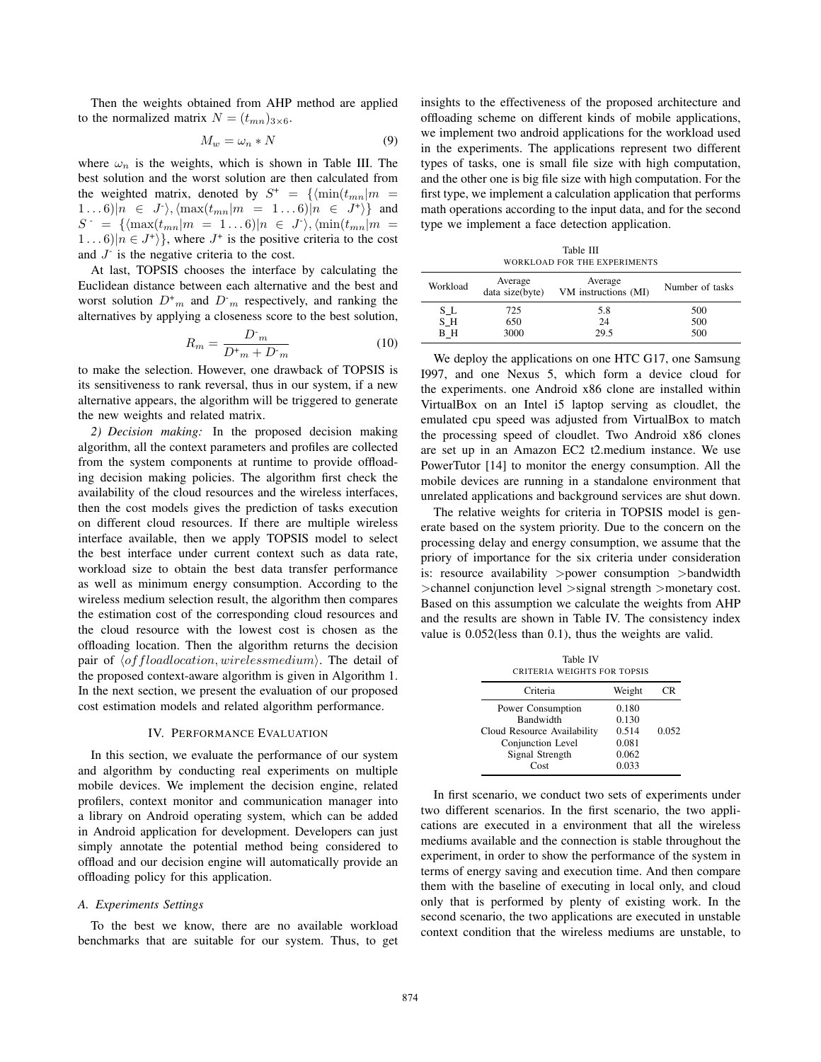Then the weights obtained from AHP method are applied to the normalized matrix  $N = (t_{mn})_{3 \times 6}$ .

$$
M_w = \omega_n * N \tag{9}
$$

where  $\omega_n$  is the weights, which is shown in Table III. The best solution and the worst solution are then calculated from the weighted matrix, denoted by  $S^+ = {\min(t_{mn}|m =$  $(1 \dots 6)|n \in J^*\rangle, \langle \max(t_{mn}|m = 1 \dots 6)|n \in J^*\rangle$  and  $S = {\frac{\{\langle \max(t_{mn}|m = 1...6) | n \in J^{\cdot} \rangle, \langle \min(t_{mn}|m = 1...6) | n \in J^{\cdot} \} }$  $1 \dots 6 \mid n \in J^+ \rangle$ , where  $J^+$  is the positive criteria to the cost and  $J<sup>-</sup>$  is the negative criteria to the cost.

At last, TOPSIS chooses the interface by calculating the Euclidean distance between each alternative and the best and worst solution  $D<sup>+</sup><sub>m</sub>$  and  $D<sup>-</sup><sub>m</sub>$  respectively, and ranking the alternatives by applying a closeness score to the best solution,

$$
R_m = \frac{D^{\dagger}_m}{D^{\dagger}_m + D^{\dagger}_m} \tag{10}
$$

to make the selection. However, one drawback of TOPSIS is its sensitiveness to rank reversal, thus in our system, if a new alternative appears, the algorithm will be triggered to generate the new weights and related matrix.

*2) Decision making:* In the proposed decision making algorithm, all the context parameters and profiles are collected from the system components at runtime to provide offloading decision making policies. The algorithm first check the availability of the cloud resources and the wireless interfaces, then the cost models gives the prediction of tasks execution on different cloud resources. If there are multiple wireless interface available, then we apply TOPSIS model to select the best interface under current context such as data rate, workload size to obtain the best data transfer performance as well as minimum energy consumption. According to the wireless medium selection result, the algorithm then compares the estimation cost of the corresponding cloud resources and the cloud resource with the lowest cost is chosen as the offloading location. Then the algorithm returns the decision pair of  $\langle$  of floadlocation, wirelessmedium). The detail of the proposed context-aware algorithm is given in Algorithm 1. In the next section, we present the evaluation of our proposed cost estimation models and related algorithm performance.

# IV. PERFORMANCE EVALUATION

In this section, we evaluate the performance of our system and algorithm by conducting real experiments on multiple mobile devices. We implement the decision engine, related profilers, context monitor and communication manager into a library on Android operating system, which can be added in Android application for development. Developers can just simply annotate the potential method being considered to offload and our decision engine will automatically provide an offloading policy for this application.

#### *A. Experiments Settings*

To the best we know, there are no available workload benchmarks that are suitable for our system. Thus, to get

insights to the effectiveness of the proposed architecture and offloading scheme on different kinds of mobile applications, we implement two android applications for the workload used in the experiments. The applications represent two different types of tasks, one is small file size with high computation, and the other one is big file size with high computation. For the first type, we implement a calculation application that performs math operations according to the input data, and for the second type we implement a face detection application.

|          |                            | Table III                       |                 |
|----------|----------------------------|---------------------------------|-----------------|
|          |                            | WORKLOAD FOR THE EXPERIMENTS    |                 |
| Workload | Average<br>data size(byte) | Average<br>VM instructions (MI) | Number of tasks |
| S L      | 725                        | 5.8                             | 500             |
| S H      | 650                        | 24                              | 500             |
| ΒН       | 3000                       | 29.5                            | 500             |

We deploy the applications on one HTC G17, one Samsung I997, and one Nexus 5, which form a device cloud for the experiments. one Android x86 clone are installed within VirtualBox on an Intel i5 laptop serving as cloudlet, the emulated cpu speed was adjusted from VirtualBox to match the processing speed of cloudlet. Two Android x86 clones are set up in an Amazon EC2 t2.medium instance. We use PowerTutor [14] to monitor the energy consumption. All the mobile devices are running in a standalone environment that unrelated applications and background services are shut down.

The relative weights for criteria in TOPSIS model is generate based on the system priority. Due to the concern on the processing delay and energy consumption, we assume that the priory of importance for the six criteria under consideration is: resource availability >power consumption >bandwidth >channel conjunction level >signal strength >monetary cost. Based on this assumption we calculate the weights from AHP and the results are shown in Table IV. The consistency index value is 0.052(less than 0.1), thus the weights are valid.

Table IV CRITERIA WEIGHTS FOR TOPSIS

| Criteria                             | Weight         | ΠR    |
|--------------------------------------|----------------|-------|
| Power Consumption<br>Bandwidth       | 0.180<br>0.130 |       |
| Cloud Resource Availability          | 0.514          | 0.052 |
| Conjunction Level<br>Signal Strength | 0.081<br>0.062 |       |
| Cost                                 | 0.033          |       |

In first scenario, we conduct two sets of experiments under two different scenarios. In the first scenario, the two applications are executed in a environment that all the wireless mediums available and the connection is stable throughout the experiment, in order to show the performance of the system in terms of energy saving and execution time. And then compare them with the baseline of executing in local only, and cloud only that is performed by plenty of existing work. In the second scenario, the two applications are executed in unstable context condition that the wireless mediums are unstable, to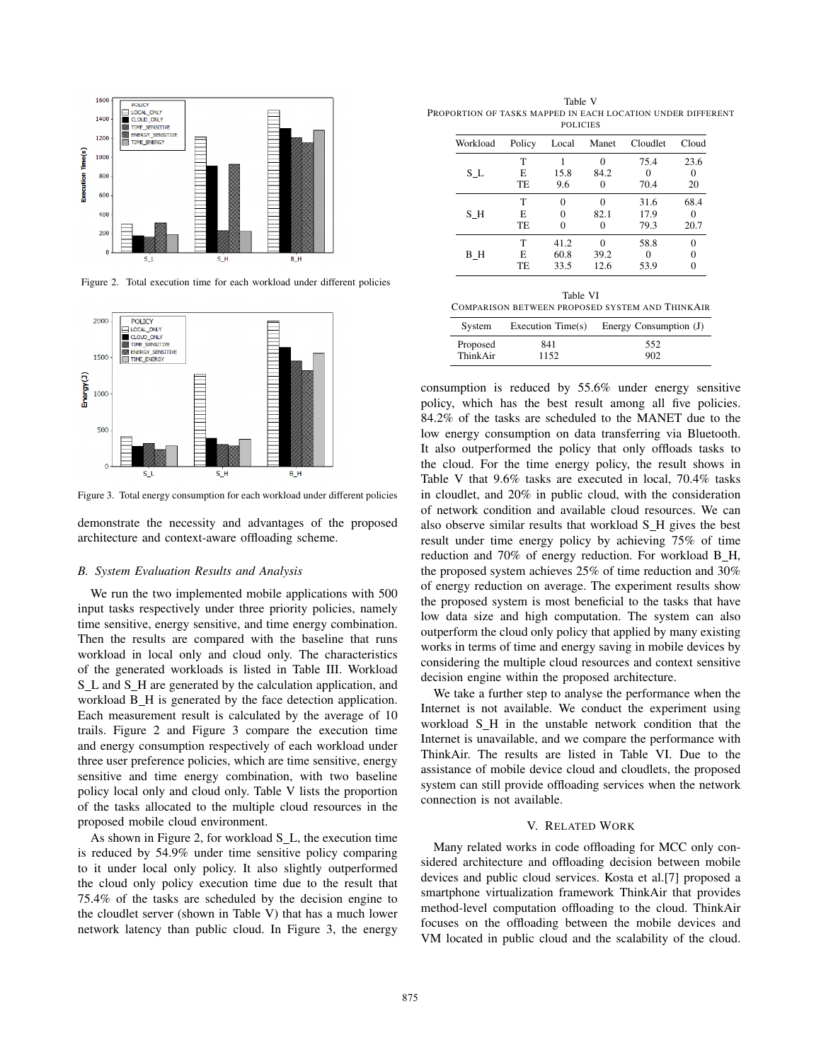

Figure 2. Total execution time for each workload under different policies



Figure 3. Total energy consumption for each workload under different policies

demonstrate the necessity and advantages of the proposed architecture and context-aware offloading scheme.

#### *B. System Evaluation Results and Analysis*

We run the two implemented mobile applications with 500 input tasks respectively under three priority policies, namely time sensitive, energy sensitive, and time energy combination. Then the results are compared with the baseline that runs workload in local only and cloud only. The characteristics of the generated workloads is listed in Table III. Workload S\_L and S\_H are generated by the calculation application, and workload B\_H is generated by the face detection application. Each measurement result is calculated by the average of 10 trails. Figure 2 and Figure 3 compare the execution time and energy consumption respectively of each workload under three user preference policies, which are time sensitive, energy sensitive and time energy combination, with two baseline policy local only and cloud only. Table V lists the proportion of the tasks allocated to the multiple cloud resources in the proposed mobile cloud environment.

As shown in Figure 2, for workload S L, the execution time is reduced by 54.9% under time sensitive policy comparing to it under local only policy. It also slightly outperformed the cloud only policy execution time due to the result that 75.4% of the tasks are scheduled by the decision engine to the cloudlet server (shown in Table V) that has a much lower network latency than public cloud. In Figure 3, the energy

Table V PROPORTION OF TASKS MAPPED IN EACH LOCATION UNDER DIFFERENT POLICIES

| Workload | Policy | Local             | Manet    | Cloudlet                                        | Cloud |  |
|----------|--------|-------------------|----------|-------------------------------------------------|-------|--|
|          | т      | 1                 | 0        | 75.4                                            | 23.6  |  |
| S L      | E.     | 15.8              | 84.2     | 0                                               | 0     |  |
|          | TE     | 9.6               | 0        | 70.4                                            | 20    |  |
|          | T      | 0                 | 0        | 31.6                                            | 68.4  |  |
| SН       | E      | $\Omega$          | 82.1     | 17.9                                            |       |  |
|          | TE     | $\Omega$          | 0        | 79.3                                            | 20.7  |  |
|          | T      | 41.2              | $\theta$ | 58.8                                            | 0     |  |
| ΒН       | E      | 60.8              | 39.2     | 0                                               | 0     |  |
|          | TE     | 33.5              | 12.6     | 53.9                                            | 0     |  |
|          |        | Table VI          |          | COMPARISON BETWEEN PROPOSED SYSTEM AND THINKAIR |       |  |
| System   |        | Execution Time(s) |          | Energy Consumption (J)                          |       |  |
| Proposed | 841    |                   |          | 552                                             |       |  |
| ThinkAir | 1152   |                   |          | 902                                             |       |  |

consumption is reduced by 55.6% under energy sensitive policy, which has the best result among all five policies. 84.2% of the tasks are scheduled to the MANET due to the low energy consumption on data transferring via Bluetooth. It also outperformed the policy that only offloads tasks to the cloud. For the time energy policy, the result shows in Table V that 9.6% tasks are executed in local, 70.4% tasks in cloudlet, and 20% in public cloud, with the consideration of network condition and available cloud resources. We can also observe similar results that workload S\_H gives the best result under time energy policy by achieving 75% of time reduction and 70% of energy reduction. For workload B\_H, the proposed system achieves 25% of time reduction and 30% of energy reduction on average. The experiment results show the proposed system is most beneficial to the tasks that have low data size and high computation. The system can also outperform the cloud only policy that applied by many existing works in terms of time and energy saving in mobile devices by considering the multiple cloud resources and context sensitive decision engine within the proposed architecture.

We take a further step to analyse the performance when the Internet is not available. We conduct the experiment using workload S\_H in the unstable network condition that the Internet is unavailable, and we compare the performance with ThinkAir. The results are listed in Table VI. Due to the assistance of mobile device cloud and cloudlets, the proposed system can still provide offloading services when the network connection is not available.

## V. RELATED WORK

Many related works in code offloading for MCC only considered architecture and offloading decision between mobile devices and public cloud services. Kosta et al.[7] proposed a smartphone virtualization framework ThinkAir that provides method-level computation offloading to the cloud. ThinkAir focuses on the offloading between the mobile devices and VM located in public cloud and the scalability of the cloud.